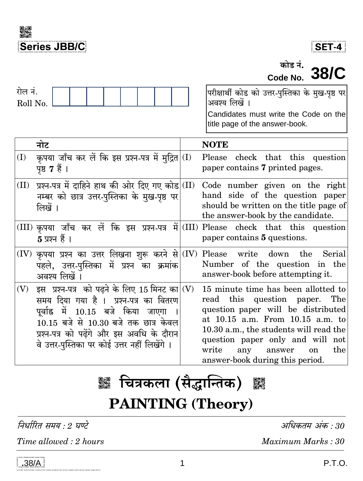



कोड नं. **38/C** Code No.

| रोल नं.<br>Roll No. |                                                                                                                                                                                                                                                                                 | परीक्षार्थी कोड को उत्तर-पुस्तिका के मुख-पृष्ठ पर <br>अवश्य लिखें ।<br>Candidates must write the Code on the<br>title page of the answer-book.                                                                                                                                                                   |
|---------------------|---------------------------------------------------------------------------------------------------------------------------------------------------------------------------------------------------------------------------------------------------------------------------------|------------------------------------------------------------------------------------------------------------------------------------------------------------------------------------------------------------------------------------------------------------------------------------------------------------------|
|                     | नोट                                                                                                                                                                                                                                                                             | <b>NOTE</b>                                                                                                                                                                                                                                                                                                      |
| (I)                 | कृपया जाँच कर लें कि इस प्रश्न-पत्र में मुद्रित $\vert$ (I)<br>पृष्ठ 7 हैं ।                                                                                                                                                                                                    | Please check that this question<br>paper contains 7 printed pages.                                                                                                                                                                                                                                               |
| (II)                | प्रश्न-पत्र में दाहिने हाथ की ओर दिए गए कोड (II)<br>नम्बर को छात्र उत्तर-पुस्तिका के मुख-पृष्ठ पर<br>लिखें ।                                                                                                                                                                    | Code number given on the right<br>hand side of the question paper<br>should be written on the title page of<br>the answer-book by the candidate.                                                                                                                                                                 |
|                     | $5 \overline{x}$ प्रश्न हैं ।                                                                                                                                                                                                                                                   | $(III)$ कृपया जाँच कर लें कि इस प्रश्न-पत्र में $ (III)$ Please check that this question<br>paper contains 5 questions.                                                                                                                                                                                          |
|                     | $\rm (IV)$ कृपया प्रश्न का उत्तर लिखना शुरू करने से $\rm  (IV) $ Please<br>पहले, उत्तर-पुस्तिका में प्रश्न का क्रमांक<br>अवश्य लिखें ।                                                                                                                                          | $down$ the<br>write<br>Serial<br>Number of the question in the<br>answer-book before attempting it.                                                                                                                                                                                                              |
| (V)                 | इस प्रश्न-पत्र को पढ़ने के लिए 15 मिनट का $\vert$ (V)<br>समय दिया गया है । प्रश्न-पत्र का वितरण<br>पूर्वाह्न में 10.15 बजे किया जाएगा<br>$10.15$ बजे से $10.30$ बजे तक छात्र केवल<br>प्रश्न-पत्र को पढेंगे और इस अवधि के दौरान<br>वे उत्तर-पुस्तिका पर कोई उत्तर नहीं लिखेंगे । | 15 minute time has been allotted to<br>read this question paper. The<br>question paper will be distributed<br>at 10.15 a.m. From 10.15 a.m. to<br>10.30 a.m., the students will read the<br>question paper only and will not<br>write<br>any<br>answer<br>the<br><sub>on</sub><br>answer-book during this period |

# **▓ चित्रकला (सैद्धान्तिक)** ▓ **PAINTING (Theory)**

निर्धारित समय : 2 घण्टे

Time allowed : 2 hours

अधिकतम अंक : 30

Maximum Marks: 30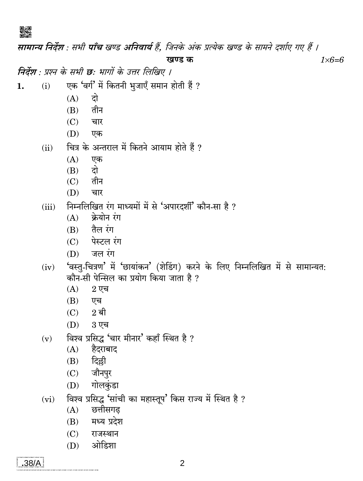▓

सामान्य निर्देश : सभी पाँच खण्ड अनिवार्य हैं. जिनके अंक प्रत्येक खण्ड के सामने दर्शाए गए हैं । खण्ड क  $1\times6=6$ निर्देश : प्रश्न के सभी छ: भागों के उत्तर लिखिए । एक 'वर्ग' में कितनी भूजाएँ समान होती हैं ?  $1.$  $(i)$  $(A)$ दो तीन  $(B)$  $(C)$ चार (D) एक चित्र के अन्तराल में कितने आयाम होते हैं ?  $(ii)$  $(A)$ एक  $(B)$ दो  $(C)$ तीन (D) चार निम्नलिखित रंग माध्यमों में से 'अपारदर्शी' कौन-सा है ?  $(iii)$ क्रेयोन रंग  $(A)$  $(B)$  तैल रंग  $(C)$  पेस्टल रंग जल रंग (D) 'वस्त्-चित्रण' में 'छायांकन' (शेडिंग) करने के लिए निम्नलिखित में से सामान्यत:  $(iv)$ कौन-सी पेन्सिल का प्रयोग किया जाता है ?  $(A)$  $2$  एच (B) एच  $(C)$  $2$  बी 3 एच (D) विश्व प्रसिद्ध 'चार मीनार' कहाँ स्थित है ?  $(v)$  $(A)$ हैदराबाद दिल्ली  $(B)$ जौनपुर  $(C)$ गोलकुंडा  $(D)$ विश्व प्रसिद्ध 'सांची का महास्तूप' किस राज्य में स्थित है ?  $(vi)$ छत्तीसगढ  $(A)$ मध्य प्रदेश  $(B)$  $(C)$ राजस्थान ओडिशा  $(D)$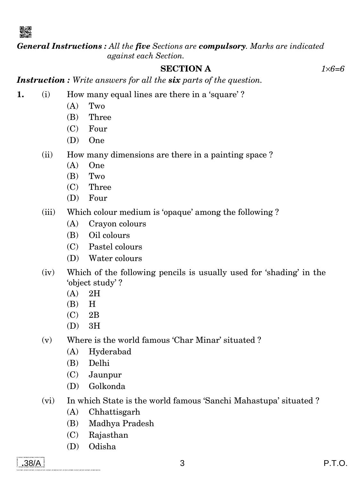

*General Instructions : All the five Sections are compulsory. Marks are indicated against each Section.*

# **SECTION A** *16=6*

*Instruction : Write answers for all the six parts of the question.*

- **1.** (i) How many equal lines are there in a 'square'?
	- $(A)$  Two
	- (B) Three
	- (C) Four
	- (D) One
	- (ii) How many dimensions are there in a painting space ?
		- (A) One
		- (B) Two
		- (C) Three
		- (D) Four
	- (iii) Which colour medium is 'opaque' among the following ?
		- (A) Crayon colours
		- (B) Oil colours
		- (C) Pastel colours
		- (D) Water colours
	- (iv) Which of the following pencils is usually used for 'shading' in the 'object study' ?
		- (A) 2H
		- (B) H
		- (C) 2B
		- (D) 3H
	- (v) Where is the world famous 'Char Minar' situated ?
		- (A) Hyderabad
		- (B) Delhi
		- (C) Jaunpur
		- (D) Golkonda
	- (vi) In which State is the world famous 'Sanchi Mahastupa' situated ?
		- (A) Chhattisgarh
		- (B) Madhya Pradesh
		- (C) Rajasthan
		- (D) Odisha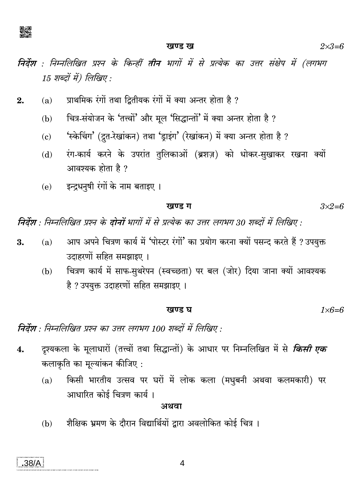

#### खण्ड ख

निर्देश : निम्नलिखित प्रश्न के किन्हीं तीन भागों में से प्रत्येक का उत्तर संक्षेप में (लगभग  $15$  शब्दों में) लिखिए :

- प्राथमिक रंगों तथा दितीयक रंगों में क्या अन्तर होता है ?  $2.$  $(a)$ 
	- चित्र-संयोजन के 'तत्त्वों' और मूल 'सिद्धान्तों' में क्या अन्तर होता है ?  $(b)$
	- 'स्केचिंग' (द्रुत-रेखांकन) तथा 'ड्राइंग' (रेखांकन) में क्या अन्तर होता है ?  $(c)$
	- रंग-कार्य करने के उपरांत तुलिकाओं (ब्रशज़) को धोकर-सुखाकर रखना क्यों  $(d)$ आवश्यक होता है ?
	- इन्द्रधनुषी रंगों के नाम बताइए ।  $(e)$

#### खण्ड ग

 $3\times2=6$ 

निर्देश : निम्नलिखित प्रश्न के दोनों भागों में से प्रत्येक का उत्तर लगभग 30 शब्दों में लिखिए :

- आप अपने चित्रण कार्य में 'पोस्टर रंगों' का प्रयोग करना क्यों पसन्द करते हैं ? उपयुक्त  $(a)$ 3. उदाहरणों सहित समझाइए ।
	- चित्रण कार्य में साफ-सुथरेपन (स्वच्छता) पर बल (जोर) दिया जाना क्यों आवश्यक  $(b)$ है ? उपयुक्त उदाहरणों सहित समझाइए ।

$$
gu g u u u u u u u u u u u u u u u u u u u u u u u u u u u u u u u u u u u u u u u u u u u u u u u u u u u u u u u u u u u u u u u u u u u u u u u u u u u u u u u u u u u u u u u u u u u u u u u u u u u u u u u u u u
$$

निर्देश : निम्नलिखित प्रश्न का उत्तर लगभग 100 शब्दों में लिखिए :

- दृश्यकला के मूलाधारों (तत्त्वों तथा सिद्धान्तों) के आधार पर निम्नलिखित में से *किसी एक*  $\overline{4}$ . कलाकृति का मूल्यांकन कीजिए :
	- किसी भारतीय उत्सव पर घरों में लोक कला (मधुबनी अथवा कलमकारी) पर  $(a)$ आधारित कोई चित्रण कार्य।

अथवा

शैक्षिक भ्रमण के दौरान विद्यार्थियों द्वारा अवलोकित कोई चित्र ।  $(b)$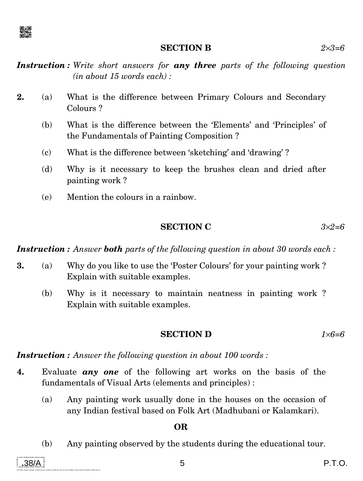

#### **SECTION B** *23=6*

*Instruction : Write short answers for any three parts of the following question (in about 15 words each) :*

- **2.** (a) What is the difference between Primary Colours and Secondary Colours ?
	- (b) What is the difference between the 'Elements' and 'Principles' of the Fundamentals of Painting Composition ?
	- (c) What is the difference between 'sketching' and 'drawing' ?
	- (d) Why is it necessary to keep the brushes clean and dried after painting work ?
	- (e) Mention the colours in a rainbow.

# **SECTION C** *32=6*

*Instruction : Answer both parts of the following question in about 30 words each :*

- **3.** (a) Why do you like to use the 'Poster Colours' for your painting work ? Explain with suitable examples.
	- (b) Why is it necessary to maintain neatness in painting work ? Explain with suitable examples.

# **SECTION D** *16=6*

*Instruction : Answer the following question in about 100 words :*

- **4.** Evaluate *any one* of the following art works on the basis of the fundamentals of Visual Arts (elements and principles) :
	- (a) Any painting work usually done in the houses on the occasion of any Indian festival based on Folk Art (Madhubani or Kalamkari).

# **OR**

(b) Any painting observed by the students during the educational tour.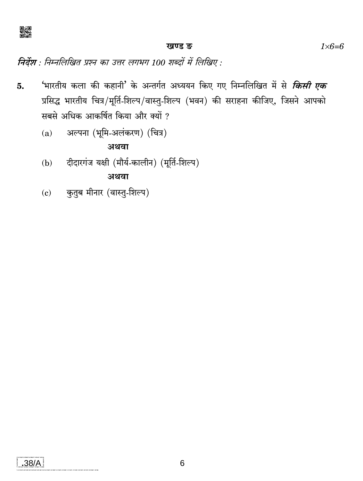

#### खण्ड ङ

निर्देश : निम्नलिखित प्रश्न का उत्तर लगभग 100 शब्दों में लिखिए :

- 'भारतीय कला की कहानी' के अन्तर्गत अध्ययन किए गए निम्नलिखित में से *किसी एक* 5. प्रसिद्ध भारतीय चित्र/मूर्ति-शिल्प/वास्तु-शिल्प (भवन) की सराहना कीजिए, जिसने आपको सबसे अधिक आकर्षित किया और क्यों ?
	- अल्पना (भूमि-अलंकरण) (चित्र)  $(a)$

अथवा

दीदारगंज यक्षी (मौर्य-कालीन) (मूर्ति-शिल्प)  $(b)$ 

अथवा

कुतुब मीनार (वास्तु-शिल्प)  $(c)$